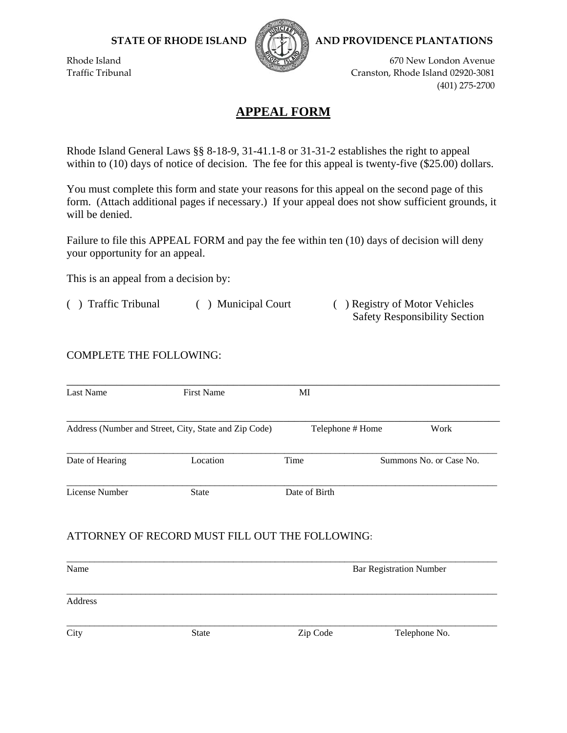

**STATE OF RHODE ISLAND AND PROVIDENCE PLANTATIONS**

Rhode Island 670 New London Avenue 670 New London Avenue 670 New London Avenue Traffic Tribunal Cranston, Rhode Island 02920-3081 (401) 275‐2700

Safety Responsibility Section

## **APPEAL FORM**

Rhode Island General Laws §§ 8-18-9, 31-41.1-8 or 31-31-2 establishes the right to appeal within to (10) days of notice of decision. The fee for this appeal is twenty-five (\$25.00) dollars.

You must complete this form and state your reasons for this appeal on the second page of this form. (Attach additional pages if necessary.) If your appeal does not show sufficient grounds, it will be denied.

Failure to file this APPEAL FORM and pay the fee within ten (10) days of decision will deny your opportunity for an appeal.

This is an appeal from a decision by:

( ) Traffic Tribunal ( ) Municipal Court ( ) Registry of Motor Vehicles

## COMPLETE THE FOLLOWING:

| <b>Last Name</b> | <b>First Name</b>                                     | MI                             |                         |
|------------------|-------------------------------------------------------|--------------------------------|-------------------------|
|                  | Address (Number and Street, City, State and Zip Code) | Telephone # Home               | Work                    |
| Date of Hearing  | Location                                              | Time                           | Summons No. or Case No. |
| License Number   | <b>State</b>                                          | Date of Birth                  |                         |
|                  | ATTORNEY OF RECORD MUST FILL OUT THE FOLLOWING:       |                                |                         |
| Name             |                                                       | <b>Bar Registration Number</b> |                         |
| Address          |                                                       |                                |                         |
| City             | <b>State</b>                                          | Zip Code                       | Telephone No.           |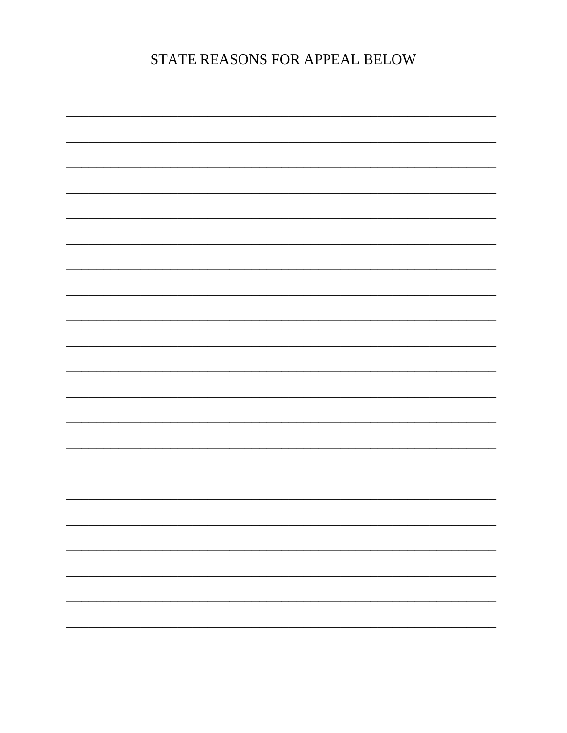STATE REASONS FOR APPEAL BELOW